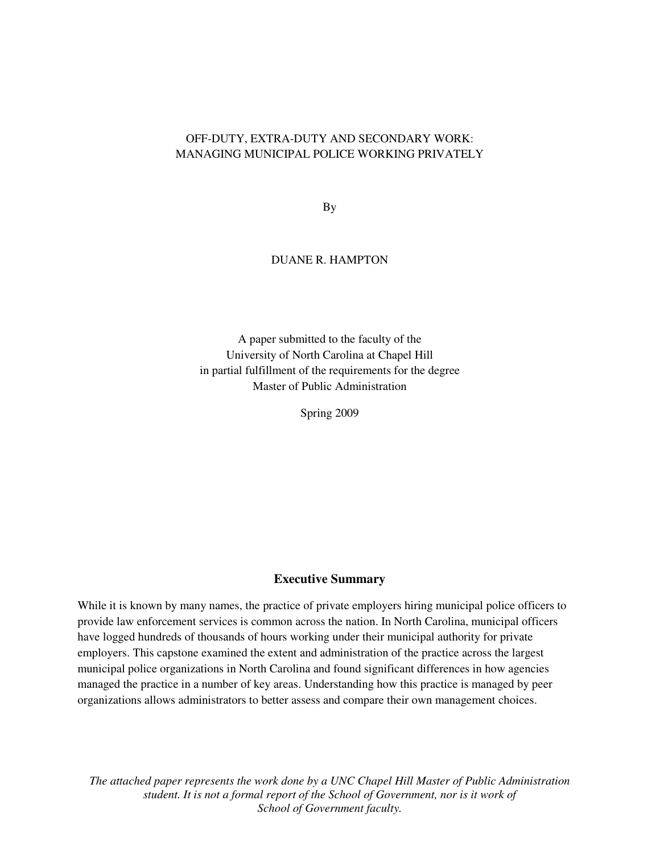# OFF-DUTY, EXTRA-DUTY AND SECONDARY WORK: MANAGING MUNICIPAL POLICE WORKING PRIVATELY

By

#### DUANE R. HAMPTON

A paper submitted to the faculty of the University of North Carolina at Chapel Hill in partial fulfillment of the requirements for the degree Master of Public Administration

Spring 2009

#### **Executive Summary**

While it is known by many names, the practice of private employers hiring municipal police officers to provide law enforcement services is common across the nation. In North Carolina, municipal officers have logged hundreds of thousands of hours working under their municipal authority for private employers. This capstone examined the extent and administration of the practice across the largest municipal police organizations in North Carolina and found significant differences in how agencies managed the practice in a number of key areas. Understanding how this practice is managed by peer organizations allows administrators to better assess and compare their own management choices.

*The attached paper represents the work done by a UNC Chapel Hill Master of Public Administration student. It is not a formal report of the School of Government, nor is it work of School of Government faculty.*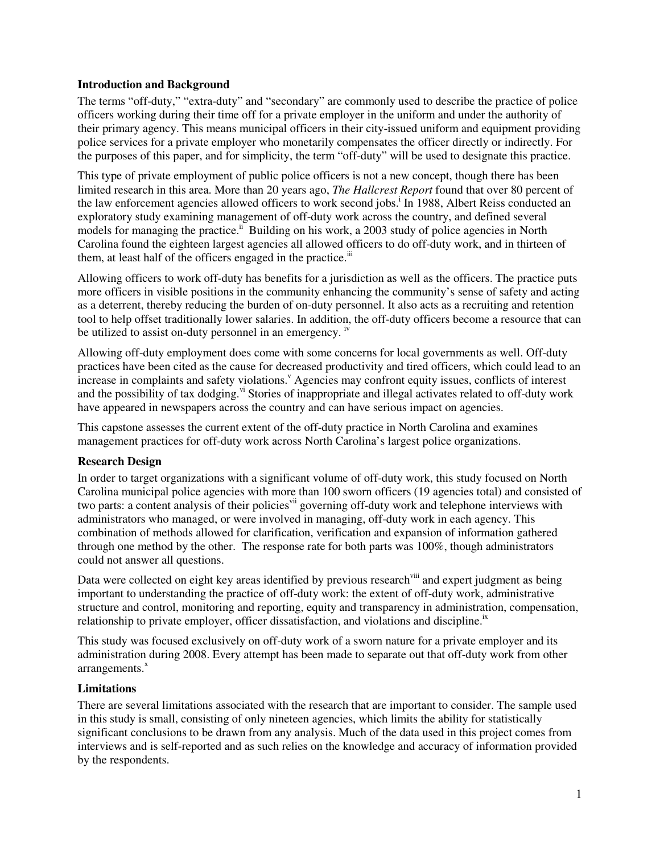## **Introduction and Background**

The terms "off-duty," "extra-duty" and "secondary" are commonly used to describe the practice of police officers working during their time off for a private employer in the uniform and under the authority of their primary agency. This means municipal officers in their city-issued uniform and equipment providing police services for a private employer who monetarily compensates the officer directly or indirectly. For the purposes of this paper, and for simplicity, the term "off-duty" will be used to designate this practice.

This type of private employment of public police officers is not a new concept, though there has been limited research in this area. More than 20 years ago, *The Hallcrest Report* found that over 80 percent of the law enforcement agencies allowed officers to work second jobs.<sup>1</sup> In 1988, Albert Reiss conducted an exploratory study examining management of off-duty work across the country, and defined several models for managing the practice.<sup>ii</sup> Building on his work, a 2003 study of police agencies in North Carolina found the eighteen largest agencies all allowed officers to do off-duty work, and in thirteen of them, at least half of the officers engaged in the practice. $\ddot{u}$ 

Allowing officers to work off-duty has benefits for a jurisdiction as well as the officers. The practice puts more officers in visible positions in the community enhancing the community's sense of safety and acting as a deterrent, thereby reducing the burden of on-duty personnel. It also acts as a recruiting and retention tool to help offset traditionally lower salaries. In addition, the off-duty officers become a resource that can be utilized to assist on-duty personnel in an emergency. <sup>iv</sup>

Allowing off-duty employment does come with some concerns for local governments as well. Off-duty practices have been cited as the cause for decreased productivity and tired officers, which could lead to an increase in complaints and safety violations.<sup>V</sup> Agencies may confront equity issues, conflicts of interest and the possibility of tax dodging.<sup>vi</sup> Stories of inappropriate and illegal activates related to off-duty work have appeared in newspapers across the country and can have serious impact on agencies.

This capstone assesses the current extent of the off-duty practice in North Carolina and examines management practices for off-duty work across North Carolina's largest police organizations.

## **Research Design**

In order to target organizations with a significant volume of off-duty work, this study focused on North Carolina municipal police agencies with more than 100 sworn officers (19 agencies total) and consisted of two parts: a content analysis of their policies<sup>vii</sup> governing off-duty work and telephone interviews with administrators who managed, or were involved in managing, off-duty work in each agency. This combination of methods allowed for clarification, verification and expansion of information gathered through one method by the other. The response rate for both parts was 100%, though administrators could not answer all questions.

Data were collected on eight key areas identified by previous research<sup>viii</sup> and expert judgment as being important to understanding the practice of off-duty work: the extent of off-duty work, administrative structure and control, monitoring and reporting, equity and transparency in administration, compensation, relationship to private employer, officer dissatisfaction, and violations and discipline.<sup>ix</sup>

This study was focused exclusively on off-duty work of a sworn nature for a private employer and its administration during 2008. Every attempt has been made to separate out that off-duty work from other  $arrangements.<sup>x</sup>$ 

## **Limitations**

There are several limitations associated with the research that are important to consider. The sample used in this study is small, consisting of only nineteen agencies, which limits the ability for statistically significant conclusions to be drawn from any analysis. Much of the data used in this project comes from interviews and is self-reported and as such relies on the knowledge and accuracy of information provided by the respondents.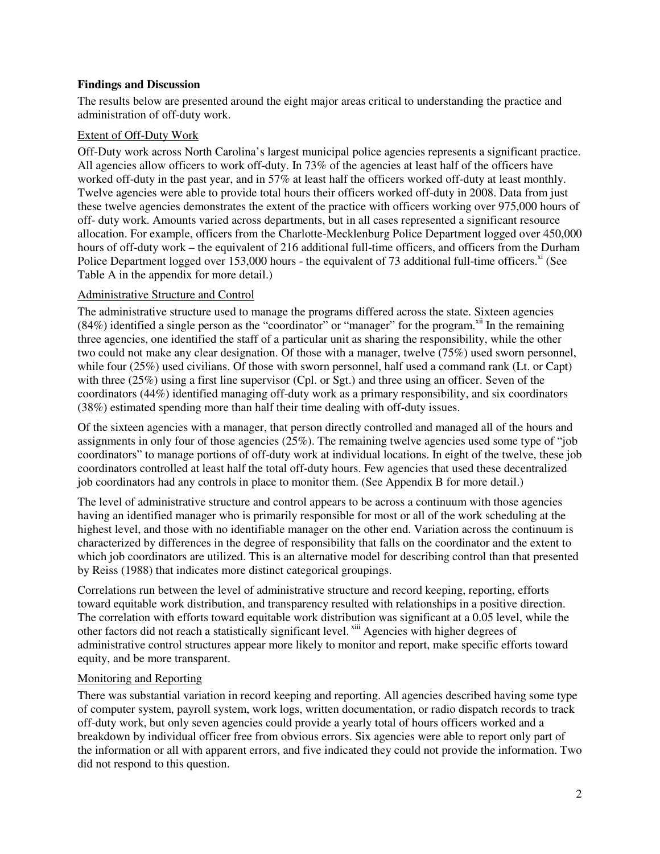## **Findings and Discussion**

The results below are presented around the eight major areas critical to understanding the practice and administration of off-duty work.

#### Extent of Off-Duty Work

Off-Duty work across North Carolina's largest municipal police agencies represents a significant practice. All agencies allow officers to work off-duty. In 73% of the agencies at least half of the officers have worked off-duty in the past year, and in 57% at least half the officers worked off-duty at least monthly. Twelve agencies were able to provide total hours their officers worked off-duty in 2008. Data from just these twelve agencies demonstrates the extent of the practice with officers working over 975,000 hours of off- duty work. Amounts varied across departments, but in all cases represented a significant resource allocation. For example, officers from the Charlotte-Mecklenburg Police Department logged over 450,000 hours of off-duty work – the equivalent of 216 additional full-time officers, and officers from the Durham Police Department logged over  $153,000$  hours - the equivalent of 73 additional full-time officers.<sup>xi</sup> (See Table A in the appendix for more detail.)

#### Administrative Structure and Control

The administrative structure used to manage the programs differed across the state. Sixteen agencies  $(84%)$  identified a single person as the "coordinator" or "manager" for the program.<sup>xii</sup> In the remaining three agencies, one identified the staff of a particular unit as sharing the responsibility, while the other two could not make any clear designation. Of those with a manager, twelve (75%) used sworn personnel, while four (25%) used civilians. Of those with sworn personnel, half used a command rank (Lt. or Capt) with three (25%) using a first line supervisor (Cpl. or Sgt.) and three using an officer. Seven of the coordinators (44%) identified managing off-duty work as a primary responsibility, and six coordinators (38%) estimated spending more than half their time dealing with off-duty issues.

Of the sixteen agencies with a manager, that person directly controlled and managed all of the hours and assignments in only four of those agencies (25%). The remaining twelve agencies used some type of "job coordinators" to manage portions of off-duty work at individual locations. In eight of the twelve, these job coordinators controlled at least half the total off-duty hours. Few agencies that used these decentralized job coordinators had any controls in place to monitor them. (See Appendix B for more detail.)

The level of administrative structure and control appears to be across a continuum with those agencies having an identified manager who is primarily responsible for most or all of the work scheduling at the highest level, and those with no identifiable manager on the other end. Variation across the continuum is characterized by differences in the degree of responsibility that falls on the coordinator and the extent to which job coordinators are utilized. This is an alternative model for describing control than that presented by Reiss (1988) that indicates more distinct categorical groupings.

Correlations run between the level of administrative structure and record keeping, reporting, efforts toward equitable work distribution, and transparency resulted with relationships in a positive direction. The correlation with efforts toward equitable work distribution was significant at a 0.05 level, while the other factors did not reach a statistically significant level.<sup>xiii</sup> Agencies with higher degrees of administrative control structures appear more likely to monitor and report, make specific efforts toward equity, and be more transparent.

## Monitoring and Reporting

There was substantial variation in record keeping and reporting. All agencies described having some type of computer system, payroll system, work logs, written documentation, or radio dispatch records to track off-duty work, but only seven agencies could provide a yearly total of hours officers worked and a breakdown by individual officer free from obvious errors. Six agencies were able to report only part of the information or all with apparent errors, and five indicated they could not provide the information. Two did not respond to this question.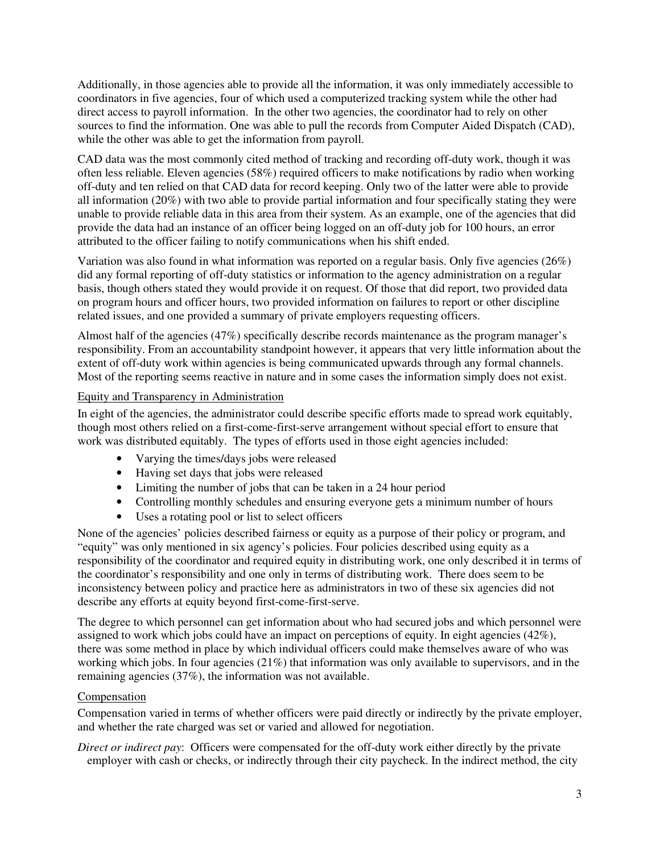Additionally, in those agencies able to provide all the information, it was only immediately accessible to coordinators in five agencies, four of which used a computerized tracking system while the other had direct access to payroll information. In the other two agencies, the coordinator had to rely on other sources to find the information. One was able to pull the records from Computer Aided Dispatch (CAD), while the other was able to get the information from payroll.

CAD data was the most commonly cited method of tracking and recording off-duty work, though it was often less reliable. Eleven agencies (58%) required officers to make notifications by radio when working off-duty and ten relied on that CAD data for record keeping. Only two of the latter were able to provide all information (20%) with two able to provide partial information and four specifically stating they were unable to provide reliable data in this area from their system. As an example, one of the agencies that did provide the data had an instance of an officer being logged on an off-duty job for 100 hours, an error attributed to the officer failing to notify communications when his shift ended.

Variation was also found in what information was reported on a regular basis. Only five agencies (26%) did any formal reporting of off-duty statistics or information to the agency administration on a regular basis, though others stated they would provide it on request. Of those that did report, two provided data on program hours and officer hours, two provided information on failures to report or other discipline related issues, and one provided a summary of private employers requesting officers.

Almost half of the agencies (47%) specifically describe records maintenance as the program manager's responsibility. From an accountability standpoint however, it appears that very little information about the extent of off-duty work within agencies is being communicated upwards through any formal channels. Most of the reporting seems reactive in nature and in some cases the information simply does not exist.

# Equity and Transparency in Administration

In eight of the agencies, the administrator could describe specific efforts made to spread work equitably, though most others relied on a first-come-first-serve arrangement without special effort to ensure that work was distributed equitably. The types of efforts used in those eight agencies included:

- Varying the times/days jobs were released
- Having set days that jobs were released
- Limiting the number of jobs that can be taken in a 24 hour period
- Controlling monthly schedules and ensuring everyone gets a minimum number of hours
- Uses a rotating pool or list to select officers

None of the agencies' policies described fairness or equity as a purpose of their policy or program, and "equity" was only mentioned in six agency's policies. Four policies described using equity as a responsibility of the coordinator and required equity in distributing work, one only described it in terms of the coordinator's responsibility and one only in terms of distributing work. There does seem to be inconsistency between policy and practice here as administrators in two of these six agencies did not describe any efforts at equity beyond first-come-first-serve.

The degree to which personnel can get information about who had secured jobs and which personnel were assigned to work which jobs could have an impact on perceptions of equity. In eight agencies (42%), there was some method in place by which individual officers could make themselves aware of who was working which jobs. In four agencies  $(21\%)$  that information was only available to supervisors, and in the remaining agencies (37%), the information was not available.

## Compensation

Compensation varied in terms of whether officers were paid directly or indirectly by the private employer, and whether the rate charged was set or varied and allowed for negotiation.

*Direct or indirect pay*: Officers were compensated for the off-duty work either directly by the private employer with cash or checks, or indirectly through their city paycheck. In the indirect method, the city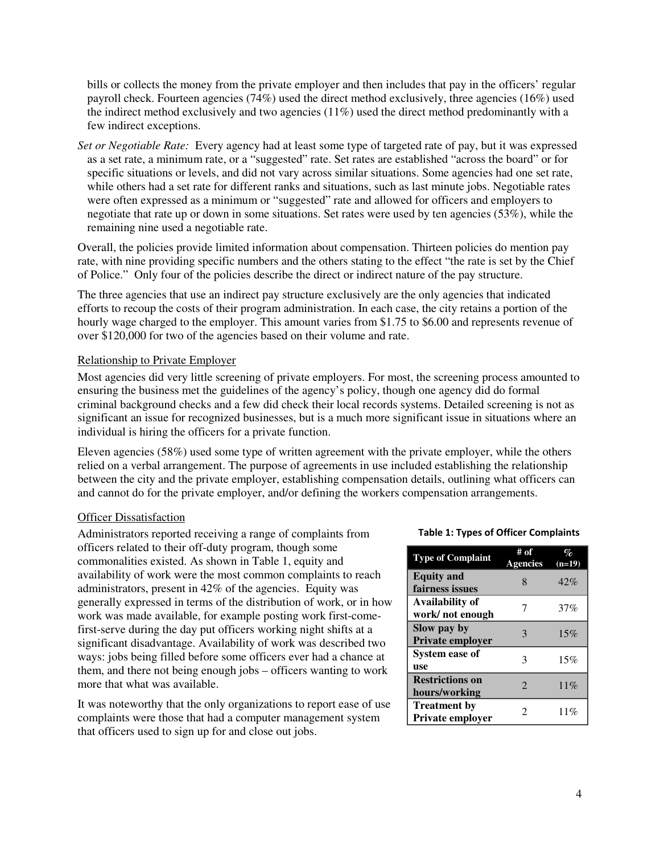bills or collects the money from the private employer and then includes that pay in the officers' regular payroll check. Fourteen agencies (74%) used the direct method exclusively, three agencies (16%) used the indirect method exclusively and two agencies  $(11\%)$  used the direct method predominantly with a few indirect exceptions.

*Set or Negotiable Rate:* Every agency had at least some type of targeted rate of pay, but it was expressed as a set rate, a minimum rate, or a "suggested" rate. Set rates are established "across the board" or for specific situations or levels, and did not vary across similar situations. Some agencies had one set rate, while others had a set rate for different ranks and situations, such as last minute jobs. Negotiable rates were often expressed as a minimum or "suggested" rate and allowed for officers and employers to negotiate that rate up or down in some situations. Set rates were used by ten agencies (53%), while the remaining nine used a negotiable rate.

Overall, the policies provide limited information about compensation. Thirteen policies do mention pay rate, with nine providing specific numbers and the others stating to the effect "the rate is set by the Chief of Police." Only four of the policies describe the direct or indirect nature of the pay structure.

The three agencies that use an indirect pay structure exclusively are the only agencies that indicated efforts to recoup the costs of their program administration. In each case, the city retains a portion of the hourly wage charged to the employer. This amount varies from \$1.75 to \$6.00 and represents revenue of over \$120,000 for two of the agencies based on their volume and rate.

# Relationship to Private Employer

Most agencies did very little screening of private employers. For most, the screening process amounted to ensuring the business met the guidelines of the agency's policy, though one agency did do formal criminal background checks and a few did check their local records systems. Detailed screening is not as significant an issue for recognized businesses, but is a much more significant issue in situations where an individual is hiring the officers for a private function.

Eleven agencies (58%) used some type of written agreement with the private employer, while the others relied on a verbal arrangement. The purpose of agreements in use included establishing the relationship between the city and the private employer, establishing compensation details, outlining what officers can and cannot do for the private employer, and/or defining the workers compensation arrangements.

## Officer Dissatisfaction

Administrators reported receiving a range of complaints from officers related to their off-duty program, though some commonalities existed. As shown in Table 1, equity and availability of work were the most common complaints to reach administrators, present in 42% of the agencies. Equity was generally expressed in terms of the distribution of work, or in how work was made available, for example posting work first-comefirst-serve during the day put officers working night shifts at a significant disadvantage. Availability of work was described two ways: jobs being filled before some officers ever had a chance at them, and there not being enough jobs – officers wanting to work more that what was available.

It was noteworthy that the only organizations to report ease of use complaints were those that had a computer management system that officers used to sign up for and close out jobs.

#### Table 1: Types of Officer Complaints

| <b>Type of Complaint</b>                  | # of<br><b>Agencies</b> | $\%$<br>$(n=19)$ |
|-------------------------------------------|-------------------------|------------------|
| <b>Equity</b> and<br>fairness issues      |                         | 42%              |
| <b>Availability of</b><br>work/not enough | 7                       | 37%              |
| Slow pay by<br>Private employer           | $\mathcal{R}$           | 15%              |
| <b>System ease of</b><br>use              | 3                       | 15%              |
| <b>Restrictions on</b><br>hours/working   | 2                       | 11%              |
| <b>Treatment by</b><br>Private employer   | 2                       | 11%              |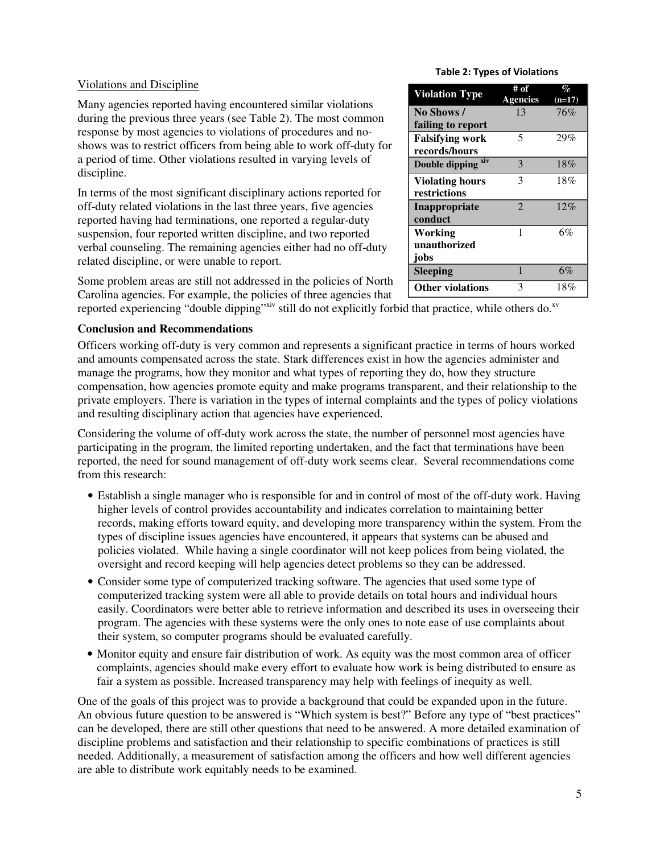## Violations and Discipline

Many agencies reported having encountered similar violations during the previous three years (see Table 2). The most common response by most agencies to violations of procedures and noshows was to restrict officers from being able to work off-duty for a period of time. Other violations resulted in varying levels of discipline.

In terms of the most significant disciplinary actions reported for off-duty related violations in the last three years, five agencies reported having had terminations, one reported a regular-duty suspension, four reported written discipline, and two reported verbal counseling. The remaining agencies either had no off-duty related discipline, or were unable to report.

Some problem areas are still not addressed in the policies of North Carolina agencies. For example, the policies of three agencies that

reported experiencing "double dipping"<sup>xiv</sup> still do not explicitly forbid that practice, while others do.<sup>xv</sup>

# **Conclusion and Recommendations**

Officers working off-duty is very common and represents a significant practice in terms of hours worked and amounts compensated across the state. Stark differences exist in how the agencies administer and manage the programs, how they monitor and what types of reporting they do, how they structure compensation, how agencies promote equity and make programs transparent, and their relationship to the private employers. There is variation in the types of internal complaints and the types of policy violations and resulting disciplinary action that agencies have experienced.

Considering the volume of off-duty work across the state, the number of personnel most agencies have participating in the program, the limited reporting undertaken, and the fact that terminations have been reported, the need for sound management of off-duty work seems clear. Several recommendations come from this research:

- Establish a single manager who is responsible for and in control of most of the off-duty work. Having higher levels of control provides accountability and indicates correlation to maintaining better records, making efforts toward equity, and developing more transparency within the system. From the types of discipline issues agencies have encountered, it appears that systems can be abused and policies violated. While having a single coordinator will not keep polices from being violated, the oversight and record keeping will help agencies detect problems so they can be addressed.
- Consider some type of computerized tracking software. The agencies that used some type of computerized tracking system were all able to provide details on total hours and individual hours easily. Coordinators were better able to retrieve information and described its uses in overseeing their program. The agencies with these systems were the only ones to note ease of use complaints about their system, so computer programs should be evaluated carefully.
- Monitor equity and ensure fair distribution of work. As equity was the most common area of officer complaints, agencies should make every effort to evaluate how work is being distributed to ensure as fair a system as possible. Increased transparency may help with feelings of inequity as well.

One of the goals of this project was to provide a background that could be expanded upon in the future. An obvious future question to be answered is "Which system is best?" Before any type of "best practices" can be developed, there are still other questions that need to be answered. A more detailed examination of discipline problems and satisfaction and their relationship to specific combinations of practices is still needed. Additionally, a measurement of satisfaction among the officers and how well different agencies are able to distribute work equitably needs to be examined.

#### Table 2: Types of Violations

| <b>Violation Type</b>   | # of            | $\%$     |
|-------------------------|-----------------|----------|
|                         | <b>Agencies</b> | $(n=17)$ |
| No Shows/               | 13              | 76%      |
| failing to report       |                 |          |
| <b>Falsifying work</b>  | 5               | 29%      |
| records/hours           |                 |          |
| Double dipping xiv      | 3               | 18%      |
| <b>Violating hours</b>  | 3               | 18%      |
| restrictions            |                 |          |
| Inappropriate           | $\mathfrak{D}$  | 12%      |
| conduct                 |                 |          |
| Working                 | 1               | 6%       |
| unauthorized            |                 |          |
| jobs                    |                 |          |
| <b>Sleeping</b>         | 1               | 6%       |
| <b>Other violations</b> | 3               | 18%      |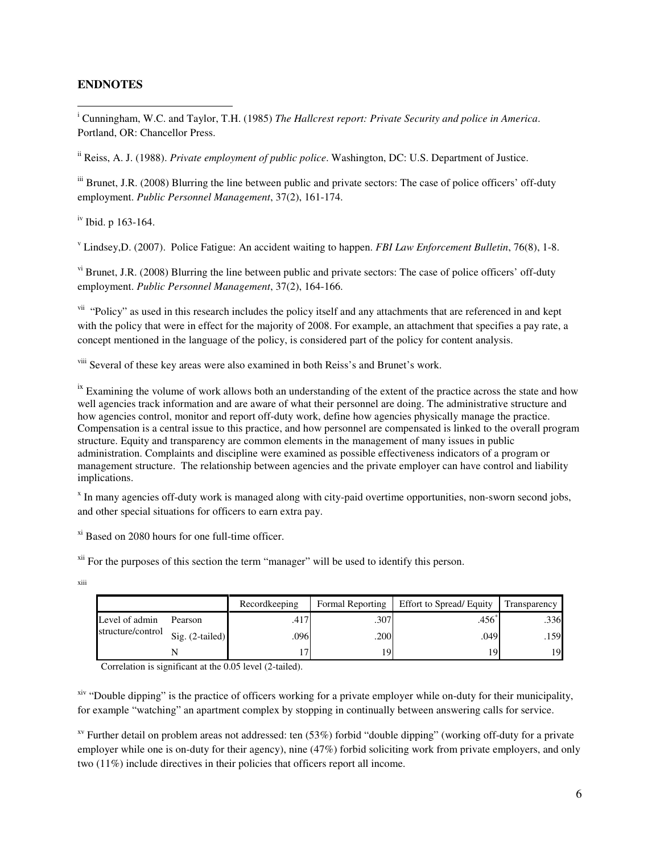### **ENDNOTES**

 $\overline{\phantom{0}}$ 

i Cunningham, W.C. and Taylor, T.H. (1985) *The Hallcrest report: Private Security and police in America*. Portland, OR: Chancellor Press.

ii Reiss, A. J. (1988). *Private employment of public police*. Washington, DC: U.S. Department of Justice.

iii Brunet, J.R. (2008) Blurring the line between public and private sectors: The case of police officers' off-duty employment. *Public Personnel Management*, 37(2), 161-174.

iv Ibid. p 163-164.

v Lindsey,D. (2007). Police Fatigue: An accident waiting to happen. *FBI Law Enforcement Bulletin*, 76(8), 1-8.

<sup>vi</sup> Brunet, J.R. (2008) Blurring the line between public and private sectors: The case of police officers' off-duty employment. *Public Personnel Management*, 37(2), 164-166.

<sup>vii</sup> "Policy" as used in this research includes the policy itself and any attachments that are referenced in and kept with the policy that were in effect for the majority of 2008. For example, an attachment that specifies a pay rate, a concept mentioned in the language of the policy, is considered part of the policy for content analysis.

viii Several of these key areas were also examined in both Reiss's and Brunet's work.

<sup>ix</sup> Examining the volume of work allows both an understanding of the extent of the practice across the state and how well agencies track information and are aware of what their personnel are doing. The administrative structure and how agencies control, monitor and report off-duty work, define how agencies physically manage the practice. Compensation is a central issue to this practice, and how personnel are compensated is linked to the overall program structure. Equity and transparency are common elements in the management of many issues in public administration. Complaints and discipline were examined as possible effectiveness indicators of a program or management structure. The relationship between agencies and the private employer can have control and liability implications.

<sup>x</sup> In many agencies off-duty work is managed along with city-paid overtime opportunities, non-sworn second jobs, and other special situations for officers to earn extra pay.

xi Based on 2080 hours for one full-time officer.

<sup>xii</sup> For the purposes of this section the term "manager" will be used to identify this person.

|                   |                 | Recordkeeping | <b>Formal Reporting</b> | Effort to Spread/Equity | Transparency |
|-------------------|-----------------|---------------|-------------------------|-------------------------|--------------|
| Level of admin    | Pearson         | .417          | .307                    | .456                    | .336         |
| structure/control | Sig. (2-tailed) | .096          | .200                    | .049                    | .159         |
|                   |                 |               | 19                      | 10.                     | 19           |

Correlation is significant at the 0.05 level (2-tailed).

<sup>xiv</sup> "Double dipping" is the practice of officers working for a private employer while on-duty for their municipality, for example "watching" an apartment complex by stopping in continually between answering calls for service.

 $x<sup>v</sup>$  Further detail on problem areas not addressed: ten (53%) forbid "double dipping" (working off-duty for a private employer while one is on-duty for their agency), nine (47%) forbid soliciting work from private employers, and only two (11%) include directives in their policies that officers report all income.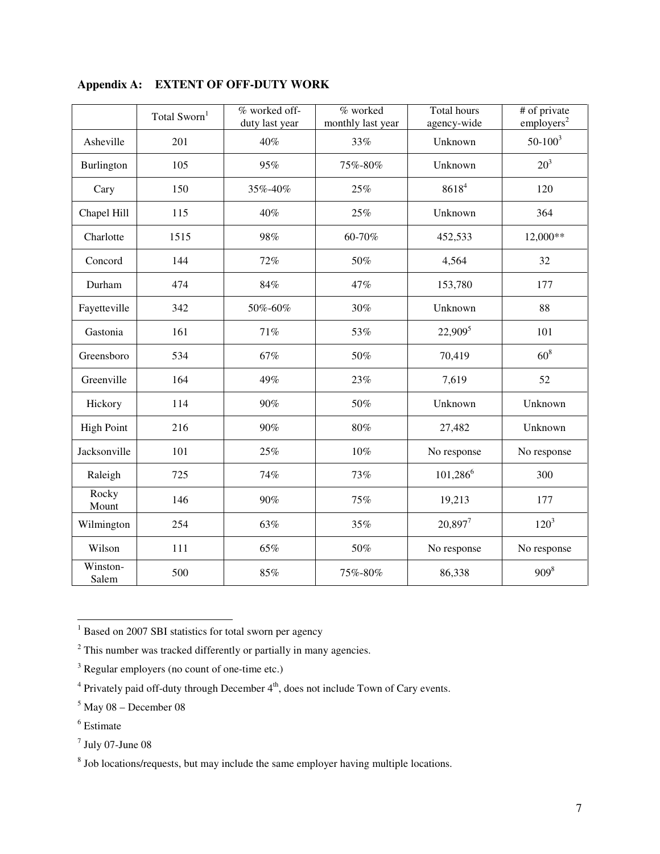|                   | Total Sworn <sup>1</sup> | % worked off-<br>duty last year | % worked<br>monthly last year | Total hours<br>agency-wide | # of private<br>employers <sup>2</sup> |
|-------------------|--------------------------|---------------------------------|-------------------------------|----------------------------|----------------------------------------|
| Asheville         | 201                      | 40%                             | 33%                           | Unknown                    | $50 - 100^3$                           |
| Burlington        | 105                      | 95%                             | 75%-80%                       | Unknown                    | 20 <sup>3</sup>                        |
| Cary              | 150                      | 35%-40%                         | 25%                           | 86184                      | 120                                    |
| Chapel Hill       | 115                      | 40%                             | 25%                           | Unknown                    | 364                                    |
| Charlotte         | 1515                     | 98%                             | 60-70%                        | 452,533                    | 12,000**                               |
| Concord           | 144                      | 72%                             | 50%                           | 4,564                      | 32                                     |
| Durham            | 474                      | 84%                             | 47%                           | 153,780                    | 177                                    |
| Fayetteville      | 342                      | 50%-60%                         | 30%                           | Unknown                    | 88                                     |
| Gastonia          | 161                      | 71%                             | 53%                           | 22,909 <sup>5</sup>        | 101                                    |
| Greensboro        | 534                      | 67%                             | 50%                           | 70,419                     | 60 <sup>8</sup>                        |
| Greenville        | 164                      | 49%                             | 23%                           | 7,619                      | 52                                     |
| Hickory           | 114                      | 90%                             | 50%                           | Unknown                    | Unknown                                |
| <b>High Point</b> | 216                      | 90%                             | $80\%$                        | 27,482                     | Unknown                                |
| Jacksonville      | 101                      | 25%                             | 10%                           | No response                | No response                            |
| Raleigh           | 725                      | 74%                             | 73%                           | $101,286^6$                | 300                                    |
| Rocky<br>Mount    | 146                      | 90%                             | 75%                           | 19,213                     | 177                                    |
| Wilmington        | 254                      | 63%                             | 35%                           | $20,897^7$                 | $120^{3}$                              |
| Wilson            | 111                      | 65%                             | 50%                           | No response                | No response                            |
| Winston-<br>Salem | 500                      | 85%                             | 75%-80%                       | 86,338                     | $909^{8}$                              |

**Appendix A: EXTENT OF OFF-DUTY WORK** 

<sup>1</sup> Based on 2007 SBI statistics for total sworn per agency

 $2$  This number was tracked differently or partially in many agencies.

<sup>&</sup>lt;sup>3</sup> Regular employers (no count of one-time etc.)

 $4$  Privately paid off-duty through December  $4<sup>th</sup>$ , does not include Town of Cary events.

 $<sup>5</sup>$  May 08 – December 08</sup>

<sup>6</sup> Estimate

 $<sup>7</sup>$  July 07-June 08</sup>

<sup>&</sup>lt;sup>8</sup> Job locations/requests, but may include the same employer having multiple locations.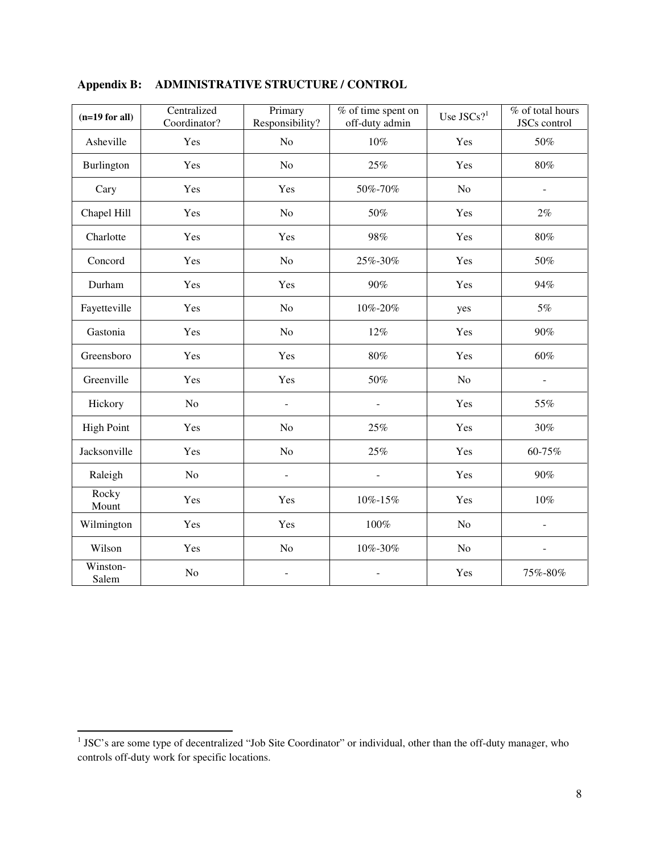| $(n=19$ for all)  | Centralized<br>Coordinator? | Primary<br>Responsibility? | $\overline{\%}$ of time spent on<br>off-duty admin | Use $JSCs$ ?   | % of total hours<br>JSCs control |
|-------------------|-----------------------------|----------------------------|----------------------------------------------------|----------------|----------------------------------|
| Asheville         | Yes                         | No                         | $10\%$                                             | Yes            | 50%                              |
| Burlington        | Yes                         | N <sub>o</sub>             | 25%                                                | Yes            | $80\%$                           |
| Cary              | Yes                         | Yes                        | 50%-70%                                            | N <sub>o</sub> | $\blacksquare$                   |
| Chapel Hill       | Yes                         | No                         | 50%                                                | Yes            | 2%                               |
| Charlotte         | Yes                         | Yes                        | 98%                                                | Yes            | $80\%$                           |
| Concord           | Yes                         | N <sub>o</sub>             | 25%-30%                                            | Yes            | 50%                              |
| Durham            | Yes                         | Yes                        | 90%                                                | Yes            | 94%                              |
| Fayetteville      | Yes                         | N <sub>o</sub>             | 10%-20%                                            | yes            | $5\%$                            |
| Gastonia          | Yes                         | N <sub>o</sub>             | 12%                                                | Yes            | 90%                              |
| Greensboro        | Yes                         | Yes                        | $80\%$                                             | Yes            | 60%                              |
| Greenville        | Yes                         | Yes                        | 50%                                                | No             | ÷,                               |
| Hickory           | N <sub>o</sub>              | $\overline{\phantom{a}}$   | $\overline{a}$                                     | Yes            | 55%                              |
| <b>High Point</b> | Yes                         | No                         | 25%                                                | Yes            | 30%                              |
| Jacksonville      | Yes                         | N <sub>o</sub>             | 25%                                                | Yes            | 60-75%                           |
| Raleigh           | N <sub>o</sub>              | ÷,                         |                                                    | Yes            | 90%                              |
| Rocky<br>Mount    | Yes                         | Yes                        | 10%-15%                                            | Yes            | $10\%$                           |
| Wilmington        | Yes                         | Yes                        | 100%                                               | No             |                                  |
| Wilson            | Yes                         | No                         | 10%-30%                                            | No             |                                  |
| Winston-<br>Salem | No                          | $\overline{a}$             |                                                    | Yes            | 75%-80%                          |

# **Appendix B: ADMINISTRATIVE STRUCTURE / CONTROL**

<sup>&</sup>lt;sup>1</sup> JSC's are some type of decentralized "Job Site Coordinator" or individual, other than the off-duty manager, who controls off-duty work for specific locations.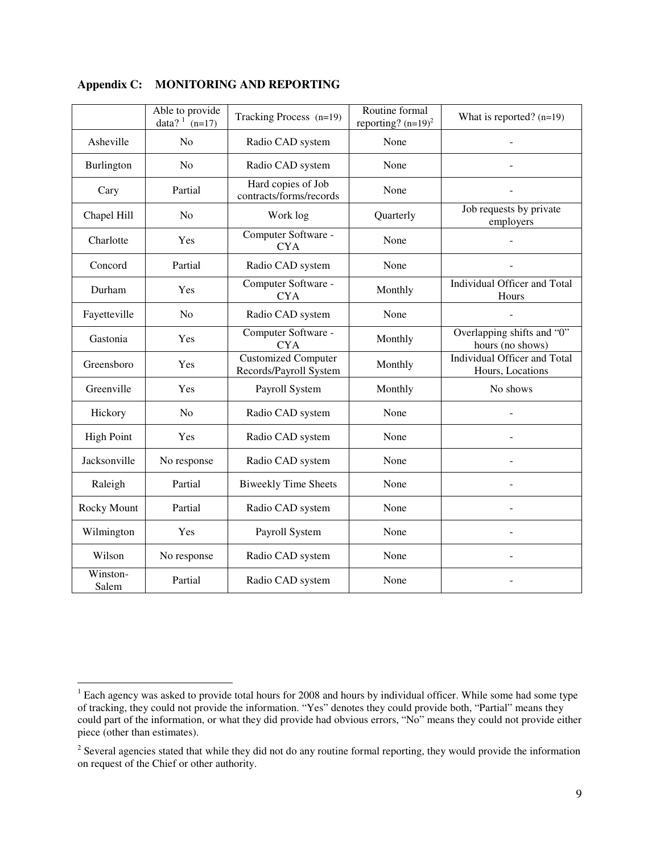|                   | Able to provide<br>data? $\int_{0}^{1}$ (n=17) | Tracking Process (n=19)                              | Routine formal<br>reporting? $(n=19)^2$ | What is reported? $(n=19)$                       |
|-------------------|------------------------------------------------|------------------------------------------------------|-----------------------------------------|--------------------------------------------------|
| Asheville         | N <sub>o</sub>                                 | Radio CAD system                                     | None                                    |                                                  |
| Burlington        | N <sub>o</sub>                                 | Radio CAD system                                     | None                                    |                                                  |
| Cary              | Partial                                        | Hard copies of Job<br>contracts/forms/records        | None                                    |                                                  |
| Chapel Hill       | N <sub>o</sub>                                 | Work log                                             | Quarterly                               | Job requests by private<br>employers             |
| Charlotte         | Yes                                            | Computer Software -<br><b>CYA</b>                    | None                                    |                                                  |
| Concord           | Partial                                        | Radio CAD system                                     | None                                    |                                                  |
| Durham            | Yes                                            | Computer Software -<br><b>CYA</b>                    | Monthly                                 | Individual Officer and Total<br>Hours            |
| Fayetteville      | N <sub>o</sub>                                 | Radio CAD system                                     | None                                    |                                                  |
| Gastonia          | Yes                                            | Computer Software -<br><b>CYA</b>                    | Monthly                                 | Overlapping shifts and "0"<br>hours (no shows)   |
| Greensboro        | Yes                                            | <b>Customized Computer</b><br>Records/Payroll System | Monthly                                 | Individual Officer and Total<br>Hours, Locations |
| Greenville        | Yes                                            | Payroll System                                       | Monthly                                 | No shows                                         |
| Hickory           | N <sub>o</sub>                                 | Radio CAD system                                     | None                                    |                                                  |
| <b>High Point</b> | Yes                                            | Radio CAD system                                     | None                                    |                                                  |
| Jacksonville      | No response                                    | Radio CAD system                                     | None                                    | L,                                               |
| Raleigh           | Partial                                        | <b>Biweekly Time Sheets</b>                          | None                                    | $\overline{a}$                                   |
| Rocky Mount       | Partial                                        | Radio CAD system                                     | None                                    |                                                  |
| Wilmington        | Yes                                            | Payroll System                                       | None                                    |                                                  |
| Wilson            | No response                                    | Radio CAD system                                     | None                                    |                                                  |
| Winston-<br>Salem | Partial                                        | Radio CAD system                                     | None                                    |                                                  |

# **Appendix C: MONITORING AND REPORTING**

<sup>&</sup>lt;sup>1</sup> Each agency was asked to provide total hours for 2008 and hours by individual officer. While some had some type of tracking, they could not provide the information. "Yes" denotes they could provide both, "Partial" means they could part of the information, or what they did provide had obvious errors, "No" means they could not provide either piece (other than estimates).

 $2^{2}$  Several agencies stated that while they did not do any routine formal reporting, they would provide the information on request of the Chief or other authority.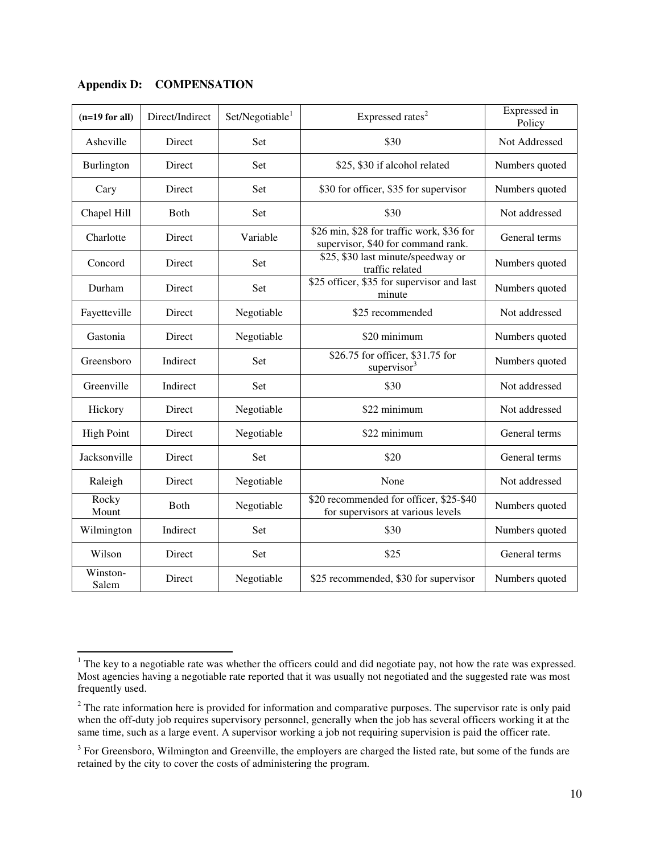| $(n=19$ for all)  | Direct/Indirect | Set/Negotiable <sup>1</sup> | Expressed rates <sup>2</sup>                                                    | Expressed in<br>Policy |
|-------------------|-----------------|-----------------------------|---------------------------------------------------------------------------------|------------------------|
| Asheville         | Direct          | Set                         | \$30                                                                            | Not Addressed          |
| Burlington        | Direct          | Set                         | \$25, \$30 if alcohol related                                                   | Numbers quoted         |
| Cary              | Direct          | Set                         | \$30 for officer, \$35 for supervisor                                           | Numbers quoted         |
| Chapel Hill       | <b>B</b> oth    | Set                         | \$30                                                                            | Not addressed          |
| Charlotte         | Direct          | Variable                    | \$26 min, \$28 for traffic work, \$36 for<br>supervisor, \$40 for command rank. | General terms          |
| Concord           | Direct          | Set                         | \$25, \$30 last minute/speedway or<br>traffic related                           | Numbers quoted         |
| Durham            | Direct          | Set                         | \$25 officer, \$35 for supervisor and last<br>minute                            | Numbers quoted         |
| Fayetteville      | Direct          | Negotiable                  | \$25 recommended                                                                | Not addressed          |
| Gastonia          | Direct          | Negotiable                  | \$20 minimum                                                                    | Numbers quoted         |
| Greensboro        | Indirect        | Set                         | \$26.75 for officer, \$31.75 for<br>supervisor <sup>3</sup>                     | Numbers quoted         |
| Greenville        | Indirect        | Set                         | \$30                                                                            | Not addressed          |
| Hickory           | Direct          | Negotiable                  | \$22 minimum                                                                    | Not addressed          |
| <b>High Point</b> | Direct          | Negotiable                  | \$22 minimum                                                                    | General terms          |
| Jacksonville      | Direct          | Set                         | \$20                                                                            | General terms          |
| Raleigh           | Direct          | Negotiable                  | None                                                                            | Not addressed          |
| Rocky<br>Mount    | Both            | Negotiable                  | \$20 recommended for officer, \$25-\$40<br>for supervisors at various levels    | Numbers quoted         |
| Wilmington        | Indirect        | Set                         | \$30                                                                            | Numbers quoted         |
| Wilson            | Direct          | Set                         | \$25                                                                            | General terms          |
| Winston-<br>Salem | Direct          | Negotiable                  | \$25 recommended, \$30 for supervisor                                           | Numbers quoted         |

**Appendix D: COMPENSATION** 

l

 $1$  The key to a negotiable rate was whether the officers could and did negotiate pay, not how the rate was expressed. Most agencies having a negotiable rate reported that it was usually not negotiated and the suggested rate was most frequently used.

 $2<sup>2</sup>$  The rate information here is provided for information and comparative purposes. The supervisor rate is only paid when the off-duty job requires supervisory personnel, generally when the job has several officers working it at the same time, such as a large event. A supervisor working a job not requiring supervision is paid the officer rate.

 $3$  For Greensboro, Wilmington and Greenville, the employers are charged the listed rate, but some of the funds are retained by the city to cover the costs of administering the program.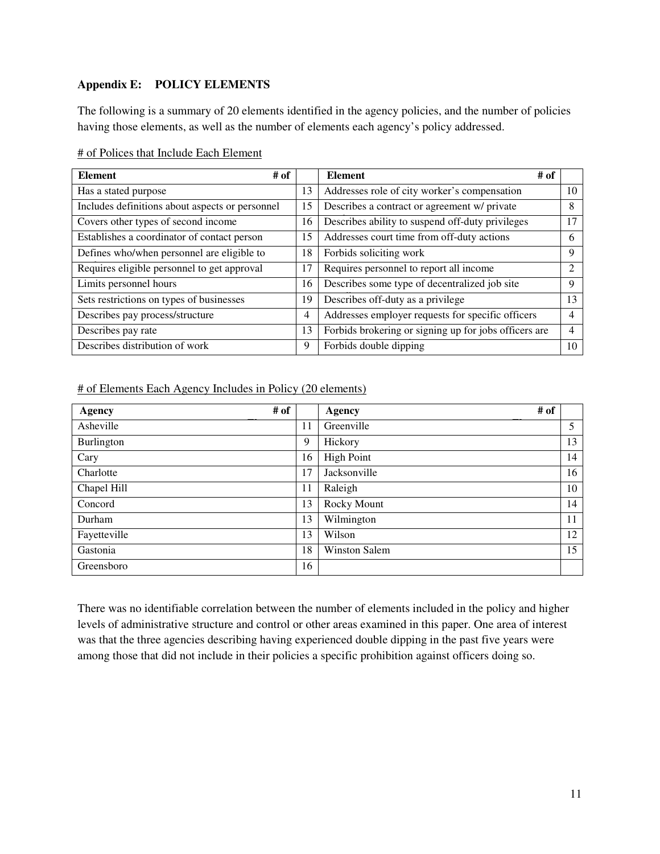# **Appendix E: POLICY ELEMENTS**

The following is a summary of 20 elements identified in the agency policies, and the number of policies having those elements, as well as the number of elements each agency's policy addressed.

|--|

| # of<br><b>Element</b>                          |    | <b>Element</b><br># of                                |                             |
|-------------------------------------------------|----|-------------------------------------------------------|-----------------------------|
| Has a stated purpose                            | 13 | Addresses role of city worker's compensation          | 10                          |
| Includes definitions about aspects or personnel | 15 | Describes a contract or agreement w/ private          | 8                           |
| Covers other types of second income             | 16 | Describes ability to suspend off-duty privileges      | 17                          |
| Establishes a coordinator of contact person     | 15 | Addresses court time from off-duty actions            | 6                           |
| Defines who/when personnel are eligible to      | 18 | Forbids soliciting work                               | 9                           |
| Requires eligible personnel to get approval     | 17 | Requires personnel to report all income               | $\mathcal{D}_{\mathcal{L}}$ |
| Limits personnel hours                          | 16 | Describes some type of decentralized job site         | 9                           |
| Sets restrictions on types of businesses        | 19 | Describes off-duty as a privilege                     | 13                          |
| Describes pay process/structure                 | 4  | Addresses employer requests for specific officers     | 4                           |
| Describes pay rate                              | 13 | Forbids brokering or signing up for jobs officers are | 4                           |
| Describes distribution of work                  | 9  | Forbids double dipping                                | 10                          |

# of Elements Each Agency Includes in Policy (20 elements)

| # of<br><b>Agency</b> |    | # of<br>Agency       |    |
|-----------------------|----|----------------------|----|
| Asheville             | 11 | Greenville           | 5  |
| Burlington            | 9  | Hickory              | 13 |
| Cary                  | 16 | <b>High Point</b>    | 14 |
| Charlotte             | 17 | Jacksonville         | 16 |
| Chapel Hill           | 11 | Raleigh              | 10 |
| Concord               | 13 | Rocky Mount          | 14 |
| Durham                | 13 | Wilmington           | 11 |
| Fayetteville          | 13 | Wilson               | 12 |
| Gastonia              | 18 | <b>Winston Salem</b> | 15 |
| Greensboro            | 16 |                      |    |

There was no identifiable correlation between the number of elements included in the policy and higher levels of administrative structure and control or other areas examined in this paper. One area of interest was that the three agencies describing having experienced double dipping in the past five years were among those that did not include in their policies a specific prohibition against officers doing so.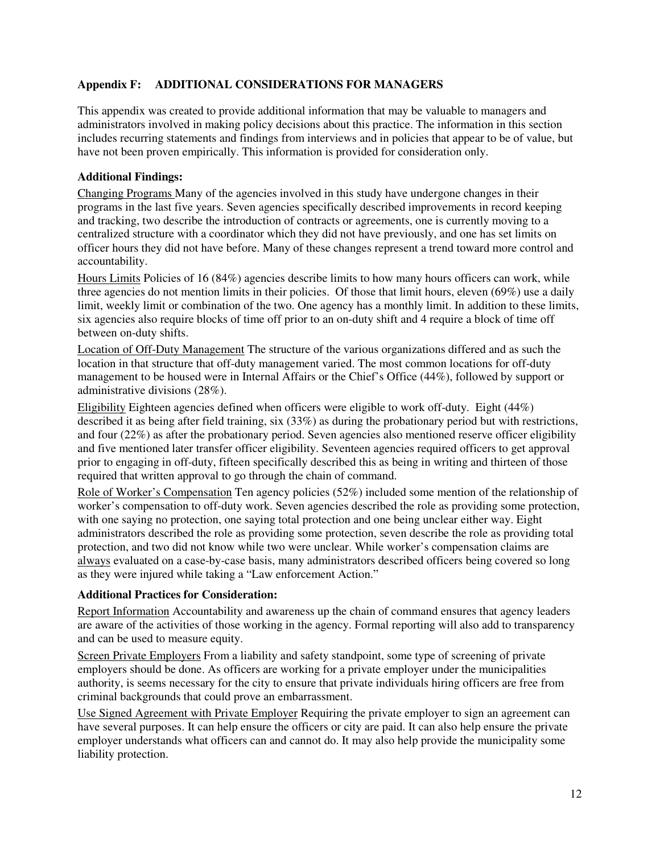# **Appendix F: ADDITIONAL CONSIDERATIONS FOR MANAGERS**

This appendix was created to provide additional information that may be valuable to managers and administrators involved in making policy decisions about this practice. The information in this section includes recurring statements and findings from interviews and in policies that appear to be of value, but have not been proven empirically. This information is provided for consideration only.

## **Additional Findings:**

Changing Programs Many of the agencies involved in this study have undergone changes in their programs in the last five years. Seven agencies specifically described improvements in record keeping and tracking, two describe the introduction of contracts or agreements, one is currently moving to a centralized structure with a coordinator which they did not have previously, and one has set limits on officer hours they did not have before. Many of these changes represent a trend toward more control and accountability.

Hours Limits Policies of 16 (84%) agencies describe limits to how many hours officers can work, while three agencies do not mention limits in their policies. Of those that limit hours, eleven (69%) use a daily limit, weekly limit or combination of the two. One agency has a monthly limit. In addition to these limits, six agencies also require blocks of time off prior to an on-duty shift and 4 require a block of time off between on-duty shifts.

Location of Off-Duty Management The structure of the various organizations differed and as such the location in that structure that off-duty management varied. The most common locations for off-duty management to be housed were in Internal Affairs or the Chief's Office (44%), followed by support or administrative divisions (28%).

Eligibility Eighteen agencies defined when officers were eligible to work off-duty. Eight (44%) described it as being after field training, six (33%) as during the probationary period but with restrictions, and four (22%) as after the probationary period. Seven agencies also mentioned reserve officer eligibility and five mentioned later transfer officer eligibility. Seventeen agencies required officers to get approval prior to engaging in off-duty, fifteen specifically described this as being in writing and thirteen of those required that written approval to go through the chain of command.

Role of Worker's Compensation Ten agency policies (52%) included some mention of the relationship of worker's compensation to off-duty work. Seven agencies described the role as providing some protection, with one saying no protection, one saying total protection and one being unclear either way. Eight administrators described the role as providing some protection, seven describe the role as providing total protection, and two did not know while two were unclear. While worker's compensation claims are always evaluated on a case-by-case basis, many administrators described officers being covered so long as they were injured while taking a "Law enforcement Action."

## **Additional Practices for Consideration:**

Report Information Accountability and awareness up the chain of command ensures that agency leaders are aware of the activities of those working in the agency. Formal reporting will also add to transparency and can be used to measure equity.

Screen Private Employers From a liability and safety standpoint, some type of screening of private employers should be done. As officers are working for a private employer under the municipalities authority, is seems necessary for the city to ensure that private individuals hiring officers are free from criminal backgrounds that could prove an embarrassment.

Use Signed Agreement with Private Employer Requiring the private employer to sign an agreement can have several purposes. It can help ensure the officers or city are paid. It can also help ensure the private employer understands what officers can and cannot do. It may also help provide the municipality some liability protection.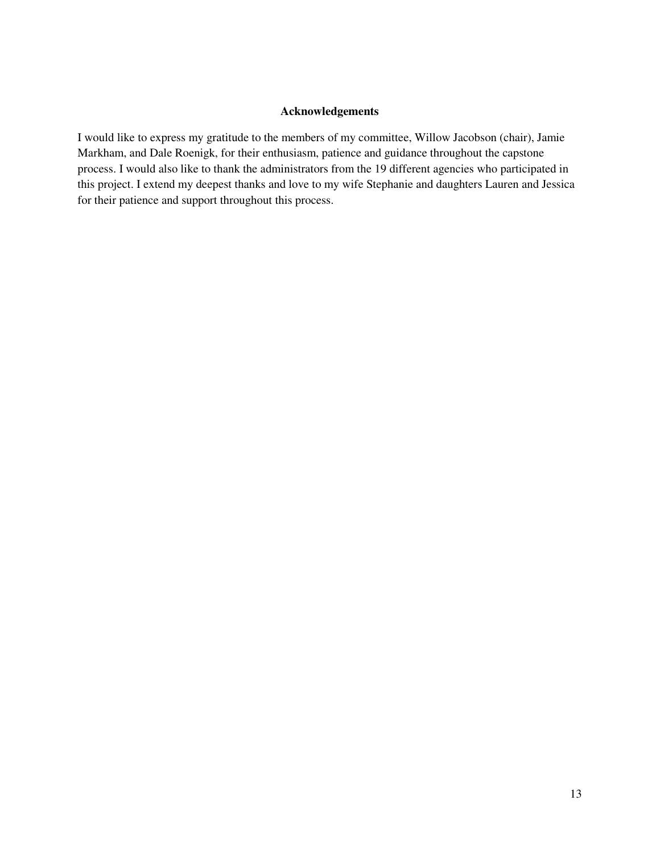## **Acknowledgements**

I would like to express my gratitude to the members of my committee, Willow Jacobson (chair), Jamie Markham, and Dale Roenigk, for their enthusiasm, patience and guidance throughout the capstone process. I would also like to thank the administrators from the 19 different agencies who participated in this project. I extend my deepest thanks and love to my wife Stephanie and daughters Lauren and Jessica for their patience and support throughout this process.